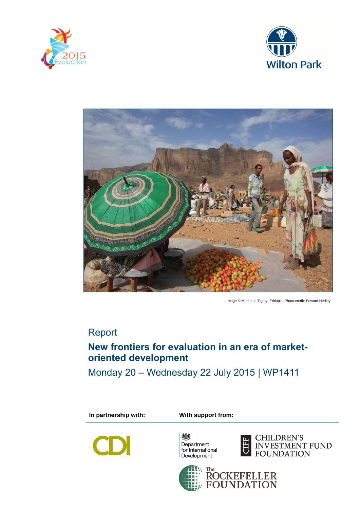





Image © Market in Tigray, Ethiopia. Photo credit: Edward Hedley

# Report

# **New frontiers for evaluation in an era of marketoriented development**

Monday 20 – Wednesday 22 July 2015 | WP1411

**In partnership with: With support from:**



鴓 Department for International<br>Development



CHILDREN'S INVESTMENT FUND<br>FOUNDATION

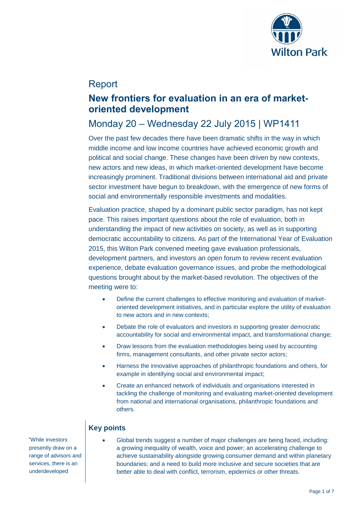

## Report

## **New frontiers for evaluation in an era of marketoriented development**

# Monday 20 – Wednesday 22 July 2015 | WP1411

Over the past few decades there have been dramatic shifts in the way in which middle income and low income countries have achieved economic growth and political and social change. These changes have been driven by new contexts, new actors and new ideas, in which market-oriented development have become increasingly prominent. Traditional divisions between international aid and private sector investment have begun to breakdown, with the emergence of new forms of social and environmentally responsible investments and modalities.

Evaluation practice, shaped by a dominant public sector paradigm, has not kept pace. This raises important questions about the role of evaluation, both in understanding the impact of new activities on society, as well as in supporting democratic accountability to citizens. As part of the International Year of Evaluation 2015, this Wilton Park convened meeting gave evaluation professionals. development partners, and investors an open forum to review recent evaluation experience, debate evaluation governance issues, and probe the methodological questions brought about by the market-based revolution. The objectives of the meeting were to:

- Define the current challenges to effective monitoring and evaluation of marketoriented development initiatives, and in particular explore the utility of evaluation to new actors and in new contexts;
- Debate the role of evaluators and investors in supporting greater democratic accountability for social and environmental impact, and transformational change;
- Draw lessons from the evaluation methodologies being used by accounting firms, management consultants, and other private sector actors;
- Harness the innovative approaches of philanthropic foundations and others, for example in identifying social and environmental impact;
- Create an enhanced network of individuals and organisations interested in tackling the challenge of monitoring and evaluating market-oriented development from national and international organisations, philanthropic foundations and others.

### **Key points**

 "While investors presently draw on a range of advisors and services, there is an underdeveloped

 Global trends suggest a number of major challenges are being faced, including: a growing inequality of wealth, voice and power; an accelerating challenge to achieve sustainability alongside growing consumer demand and within planetary boundaries; and a need to build more inclusive and secure societies that are better able to deal with conflict, terrorism, epidemics or other threats.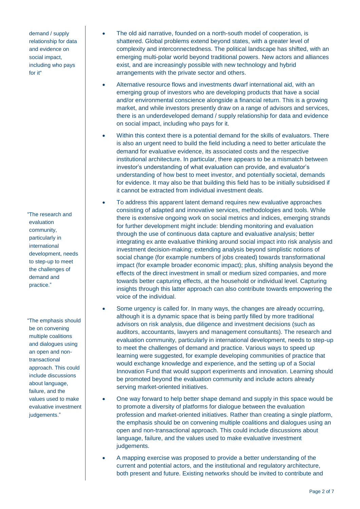demand / supply relationship for data and evidence on social impact, including who pays for it"

"The research and evaluation community, particularly in international development, needs to step-up to meet the challenges of demand and practice."

"The emphasis should be on convening multiple coalitions and dialogues using an open and nontransactional approach. This could include discussions about language, failure, and the values used to make evaluative investment judgements."

- The old aid narrative, founded on a north-south model of cooperation, is shattered. Global problems extend beyond states, with a greater level of complexity and interconnectedness. The political landscape has shifted, with an emerging multi-polar world beyond traditional powers. New actors and alliances exist, and are increasingly possible with new technology and hybrid arrangements with the private sector and others.
- Alternative resource flows and investments dwarf international aid, with an emerging group of investors who are developing products that have a social and/or environmental conscience alongside a financial return. This is a growing market, and while investors presently draw on a range of advisors and services, there is an underdeveloped demand / supply relationship for data and evidence on social impact, including who pays for it.
- Within this context there is a potential demand for the skills of evaluators. There is also an urgent need to build the field including a need to better articulate the demand for evaluative evidence, its associated costs and the respective institutional architecture. In particular, there appears to be a mismatch between investor's understanding of what evaluation can provide, and evaluator's understanding of how best to meet investor, and potentially societal, demands for evidence. It may also be that building this field has to be initially subsidised if it cannot be extracted from individual investment deals.
- To address this apparent latent demand requires new evaluative approaches consisting of adapted and innovative services, methodologies and tools. While there is extensive ongoing work on social metrics and indices, emerging strands for further development might include: blending monitoring and evaluation through the use of continuous data capture and evaluative analysis; better integrating ex ante evaluative thinking around social impact into risk analysis and investment decision-making; extending analysis beyond simplistic notions of social change (for example numbers of jobs created) towards transformational impact (for example broader economic impact); plus, shifting analysis beyond the effects of the direct investment in small or medium sized companies, and more towards better capturing effects, at the household or individual level. Capturing insights through this latter approach can also contribute towards empowering the voice of the individual.
- Some urgency is called for. In many ways, the changes are already occurring, although it is a dynamic space that is being partly filled by more traditional advisors on risk analysis, due diligence and investment decisions (such as auditors, accountants, lawyers and management consultants). The research and evaluation community, particularly in international development, needs to step-up to meet the challenges of demand and practice. Various ways to speed up learning were suggested, for example developing communities of practice that would exchange knowledge and experience, and the setting up of a Social Innovation Fund that would support experiments and innovation. Learning should be promoted beyond the evaluation community and include actors already serving market-oriented initiatives.
- One way forward to help better shape demand and supply in this space would be to promote a diversity of platforms for dialogue between the evaluation profession and market-oriented initiatives. Rather than creating a single platform, the emphasis should be on convening multiple coalitions and dialogues using an open and non-transactional approach. This could include discussions about language, failure, and the values used to make evaluative investment judgements.
- A mapping exercise was proposed to provide a better understanding of the current and potential actors, and the institutional and regulatory architecture, both present and future. Existing networks should be invited to contribute and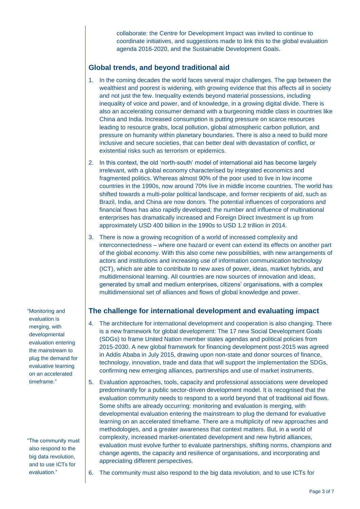collaborate: the Centre for Development Impact was invited to continue to coordinate initiatives, and suggestions made to link this to the global evaluation agenda 2016-2020, and the Sustainable Development Goals.

#### **Global trends, and beyond traditional aid**

- 1. In the coming decades the world faces several major challenges. The gap between the wealthiest and poorest is widening, with growing evidence that this affects all in society and not just the few. Inequality extends beyond material possessions, including inequality of voice and power, and of knowledge, in a growing digital divide. There is also an accelerating consumer demand with a burgeoning middle class in countries like China and India. Increased consumption is putting pressure on scarce resources leading to resource grabs, local pollution, global atmospheric carbon pollution, and pressure on humanity within planetary boundaries. There is also a need to build more inclusive and secure societies, that can better deal with devastation of conflict, or existential risks such as terrorism or epidemics.
- 2. In this context, the old 'north-south' model of international aid has become largely irrelevant, with a global economy characterised by integrated economics and fragmented politics. Whereas almost 90% of the poor used to live in low income countries in the 1990s, now around 70% live in middle income countries. The world has shifted towards a multi-polar political landscape, and former recipients of aid, such as Brazil, India, and China are now donors. The potential influences of corporations and financial flows has also rapidly developed; the number and influence of multinational enterprises has dramatically increased and Foreign Direct Investment is up from approximately USD 400 billion in the 1990s to USD 1.2 trillion in 2014.
- 3. There is now a growing recognition of a world of increased complexity and interconnectedness – where one hazard or event can extend its effects on another part of the global economy. With this also come new possibilities, with new arrangements of actors and institutions and increasing use of information communication technology (ICT), which are able to contribute to new axes of power, ideas, market hybrids, and multidimensional learning. All countries are now sources of innovation and ideas, generated by small and medium enterprises, citizens' organisations, with a complex multidimensional set of alliances and flows of global knowledge and power.

**The challenge for international development and evaluating impact**

- 4. The architecture for international development and cooperation is also changing. There is a new framework for global development: The 17 new Social Development Goals (SDGs) to frame United Nation member states agendas and political policies from 2015-2030. A new global framework for financing development post-2015 was agreed in Addis Ababa in July 2015, drawing upon non-state and donor sources of finance, technology, innovation, trade and data that will support the implementation the SDGs, confirming new emerging alliances, partnerships and use of market instruments.
- 5. Evaluation approaches, tools, capacity and professional associations were developed predominantly for a public sector-driven development model. It is recognised that the evaluation community needs to respond to a world beyond that of traditional aid flows. Some shifts are already occurring: monitoring and evaluation is merging, with developmental evaluation entering the mainstream to plug the demand for evaluative learning on an accelerated timeframe. There are a multiplicity of new approaches and methodologies, and a greater awareness that context matters. But, in a world of complexity, increased market-orientated development and new hybrid alliances, evaluation must evolve further to evaluate partnerships, shifting norms, champions and change agents, the capacity and resilience of organisations, and incorporating and appreciating different perspectives.
- 6. The community must also respond to the big data revolution, and to use ICTs for

"Monitoring and evaluation is merging, with developmental evaluation entering the mainstream to plug the demand for evaluative learning on an accelerated timeframe."

"The community must also respond to the big data revolution, and to use ICTs for evaluation."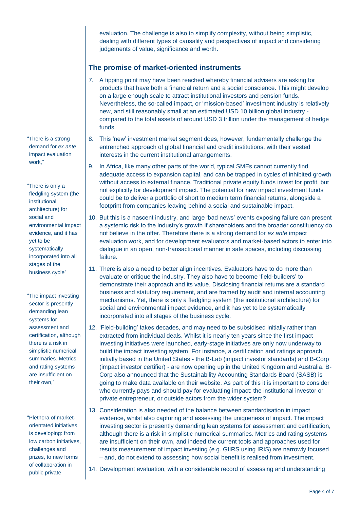evaluation. The challenge is also to simplify complexity, without being simplistic, dealing with different types of causality and perspectives of impact and considering judgements of value, significance and worth.

#### **The promise of market-oriented instruments**

- 7. A tipping point may have been reached whereby financial advisers are asking for products that have both a financial return and a social conscience. This might develop on a large enough scale to attract institutional investors and pension funds. Nevertheless, the so-called impact, or 'mission-based' investment industry is relatively new, and still reasonably small at an estimated USD 10 billion global industry compared to the total assets of around USD 3 trillion under the management of hedge funds.
- 8. This 'new' investment market segment does, however, fundamentally challenge the entrenched approach of global financial and credit institutions, with their vested interests in the current institutional arrangements.
- 9. In Africa, like many other parts of the world, typical SMEs cannot currently find adequate access to expansion capital, and can be trapped in cycles of inhibited growth without access to external finance. Traditional private equity funds invest for profit, but not explicitly for development impact. The potential for new impact investment funds could be to deliver a portfolio of short to medium term financial returns, alongside a footprint from companies leaving behind a social and sustainable impact.
- 10. But this is a nascent industry, and large 'bad news' events exposing failure can present a systemic risk to the industry's growth if shareholders and the broader constituency do not believe in the offer. Therefore there is a strong demand for *ex ante* impact evaluation work, and for development evaluators and market-based actors to enter into dialogue in an open, non-transactional manner in safe spaces, including discussing failure.
- 11. There is also a need to better align incentives. Evaluators have to do more than evaluate or critique the industry. They also have to become 'field-builders' to demonstrate their approach and its value. Disclosing financial returns are a standard business and statutory requirement, and are framed by audit and internal accounting mechanisms. Yet, there is only a fledgling system (the institutional architecture) for social and environmental impact evidence, and it has yet to be systematically incorporated into all stages of the business cycle.
- 12. 'Field-building' takes decades, and may need to be subsidised initially rather than extracted from individual deals. Whilst it is nearly ten years since the first impact investing initiatives were launched, early-stage initiatives are only now underway to build the impact investing system. For instance, a certification and ratings approach, initially based in the United States - the B-Lab (impact investor standards) and B-Corp (impact investor certifier) - are now opening up in the United Kingdom and Australia. B-Corp also announced that the Sustainability Accounting Standards Board (SASB) is going to make data available on their website. As part of this it is important to consider who currently pays and should pay for evaluating impact: the institutional investor or private entrepreneur, or outside actors from the wider system?
- 13. Consideration is also needed of the balance between standardisation in impact evidence, whilst also capturing and assessing the uniqueness of impact. The impact investing sector is presently demanding lean systems for assessment and certification, although there is a risk in simplistic numerical summaries. Metrics and rating systems are insufficient on their own, and indeed the current tools and approaches used for results measurement of impact investing (e.g. GIIRS using IRIS) are narrowly focused – and, do not extend to assessing how social benefit is realised from investment.
- 14. Development evaluation, with a considerable record of assessing and understanding

"There is a strong demand for *ex ante*  impact evaluation work,"

"There is only a fledgling system (the institutional architecture) for social and environmental impact evidence, and it has yet to be systematically incorporated into all stages of the business cycle"

"The impact investing sector is presently demanding lean systems for assessment and certification, although there is a risk in simplistic numerical summaries. Metrics and rating systems are insufficient on their own,"

"Plethora of marketorientated initiatives is developing: from low carbon initiatives, challenges and prizes, to new forms of collaboration in public private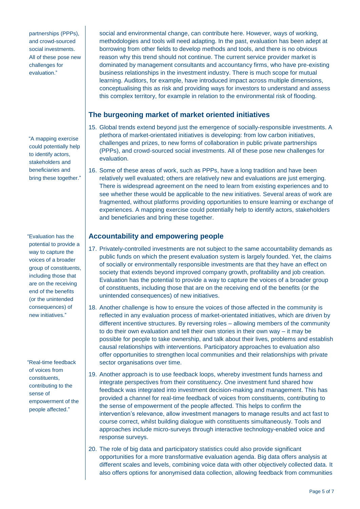partnerships (PPPs) and crowd-sourced social investments. All of these pose new challenges for evaluation."

"A mapping exercise could potentially help to identify actors, stakeholders and beneficiaries and bring these together."

"Evaluation has the potential to provide a way to capture the voices of a broader group of constituents, including those that are on the receiving end of the benefits (or the unintended consequences) of new initiatives."

"Real-time feedback of voices from constituents, contributing to the sense of empowerment of the people affected."

social and environmental change, can contribute here. However, ways of working, methodologies and tools will need adapting. In the past, evaluation has been adept at borrowing from other fields to develop methods and tools, and there is no obvious reason why this trend should not continue. The current service provider market is dominated by management consultants and accountancy firms, who have pre-existing business relationships in the investment industry. There is much scope for mutual learning. Auditors, for example, have introduced impact across multiple dimensions, conceptualising this as risk and providing ways for investors to understand and assess this complex territory, for example in relation to the environmental risk of flooding.

### **The burgeoning market of market oriented initiatives**

- 15. Global trends extend beyond just the emergence of socially-responsible investments. A plethora of market-orientated initiatives is developing: from low carbon initiatives, challenges and prizes, to new forms of collaboration in public private partnerships (PPPs), and crowd-sourced social investments. All of these pose new challenges for evaluation.
- 16. Some of these areas of work, such as PPPs, have a long tradition and have been relatively well evaluated; others are relatively new and evaluations are just emerging. There is widespread agreement on the need to learn from existing experiences and to see whether these would be applicable to the new initiatives. Several areas of work are fragmented, without platforms providing opportunities to ensure learning or exchange of experiences. A mapping exercise could potentially help to identify actors, stakeholders and beneficiaries and bring these together.

#### **Accountability and empowering people**

- 17. Privately-controlled investments are not subject to the same accountability demands as public funds on which the present evaluation system is largely founded. Yet, the claims of socially or environmentally responsible investments are that they have an effect on society that extends beyond improved company growth, profitability and job creation. Evaluation has the potential to provide a way to capture the voices of a broader group of constituents, including those that are on the receiving end of the benefits (or the unintended consequences) of new initiatives.
- 18. Another challenge is how to ensure the voices of those affected in the community is reflected in any evaluation process of market-orientated initiatives, which are driven by different incentive structures. By reversing roles – allowing members of the community to do their own evaluation and tell their own stories in their own way – it may be possible for people to take ownership, and talk about their lives, problems and establish causal relationships with interventions. Participatory approaches to evaluation also offer opportunities to strengthen local communities and their relationships with private sector organisations over time.
- 19. Another approach is to use feedback loops, whereby investment funds harness and integrate perspectives from their constituency. One investment fund shared how feedback was integrated into investment decision-making and management. This has provided a channel for real-time feedback of voices from constituents, contributing to the sense of empowerment of the people affected. This helps to confirm the intervention's relevance, allow investment managers to manage results and act fast to course correct, whilst building dialogue with constituents simultaneously. Tools and approaches include micro-surveys through interactive technology-enabled voice and response surveys.
- 20. The role of big data and participatory statistics could also provide significant opportunities for a more transformative evaluation agenda. Big data offers analysis at different scales and levels, combining voice data with other objectively collected data. It also offers options for anonymised data collection, allowing feedback from communities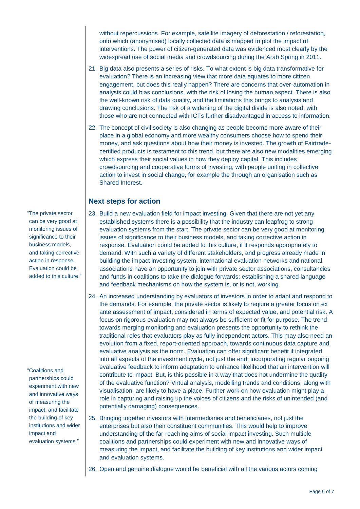without repercussions. For example, satellite imagery of deforestation / reforestation, onto which (anonymised) locally collected data is mapped to plot the impact of interventions. The power of citizen-generated data was evidenced most clearly by the widespread use of social media and crowdsourcing during the Arab Spring in 2011.

- 21. Big data also presents a series of risks. To what extent is big data transformative for evaluation? There is an increasing view that more data equates to more citizen engagement, but does this really happen? There are concerns that over-automation in analysis could bias conclusions, with the risk of losing the human aspect. There is also the well-known risk of data quality, and the limitations this brings to analysis and drawing conclusions. The risk of a widening of the digital divide is also noted, with those who are not connected with ICTs further disadvantaged in access to information.
- 22. The concept of civil society is also changing as people become more aware of their place in a global economy and more wealthy consumers choose how to spend their money, and ask questions about how their money is invested. The growth of Fairtradecertified products is testament to this trend, but there are also new modalities emerging which express their social values in how they deploy capital. This includes crowdsourcing and cooperative forms of investing, with people uniting in collective action to invest in social change, for example the through an organisation such as Shared Interest.

#### **Next steps for action**

- 23. Build a new evaluation field for impact investing. Given that there are not yet any established systems there is a possibility that the industry can leapfrog to strong evaluation systems from the start. The private sector can be very good at monitoring issues of significance to their business models, and taking corrective action in response. Evaluation could be added to this culture, if it responds appropriately to demand. With such a variety of different stakeholders, and progress already made in building the impact investing system, international evaluation networks and national associations have an opportunity to join with private sector associations, consultancies and funds in coalitions to take the dialogue forwards; establishing a shared language and feedback mechanisms on how the system is, or is not, working.
- 24. An increased understanding by evaluators of investors in order to adapt and respond to the demands. For example, the private sector is likely to require a greater focus on ex ante assessment of impact, considered in terms of expected value, and potential risk. A focus on rigorous evaluation may not always be sufficient or fit for purpose. The trend towards merging monitoring and evaluation presents the opportunity to rethink the traditional roles that evaluators play as fully independent actors. This may also need an evolution from a fixed, report-oriented approach, towards continuous data capture and evaluative analysis as the norm. Evaluation can offer significant benefit if integrated into all aspects of the investment cycle, not just the end, incorporating regular ongoing evaluative feedback to inform adaptation to enhance likelihood that an intervention will contribute to impact. But, is this possible in a way that does not undermine the quality of the evaluative function? Virtual analysis, modelling trends and conditions, along with visualisation, are likely to have a place. Further work on how evaluation might play a role in capturing and raising up the voices of citizens and the risks of unintended (and potentially damaging) consequences.
- 25. Bringing together investors with intermediaries and beneficiaries, not just the enterprises but also their constituent communities. This would help to improve understanding of the far-reaching aims of social impact investing. Such multiple coalitions and partnerships could experiment with new and innovative ways of measuring the impact, and facilitate the building of key institutions and wider impact and evaluation systems.
- 26. Open and genuine dialogue would be beneficial with all the various actors coming

"The private sector can be very good at monitoring issues of significance to their business models, and taking corrective action in response. Evaluation could be added to this culture,"

"Coalitions and partnerships could experiment with new and innovative ways of measuring the impact, and facilitate the building of key institutions and wider impact and evaluation systems."